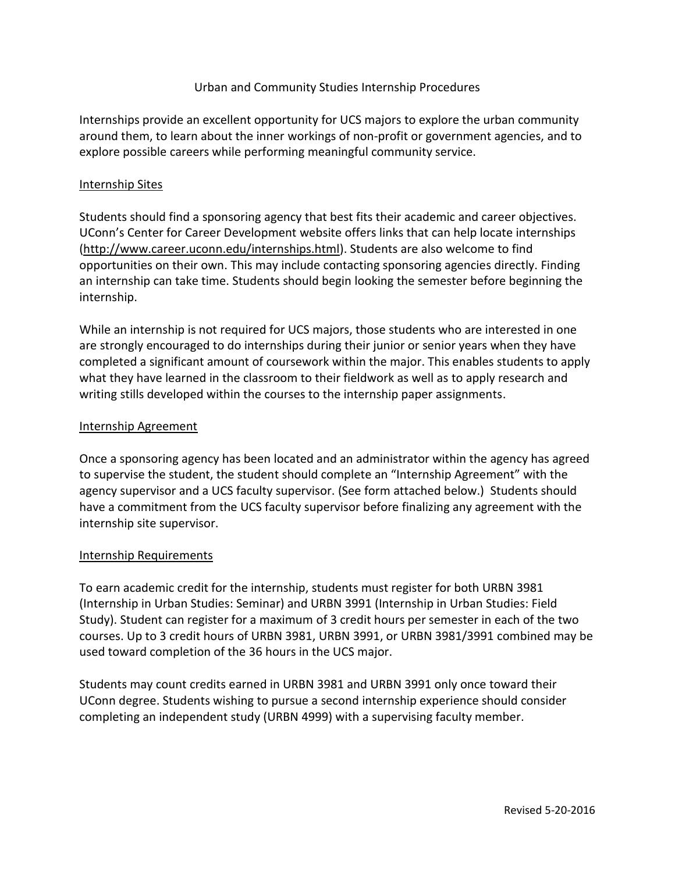## Urban and Community Studies Internship Procedures

Internships provide an excellent opportunity for UCS majors to explore the urban community around them, to learn about the inner workings of non-profit or government agencies, and to explore possible careers while performing meaningful community service.

## Internship Sites

Students should find a sponsoring agency that best fits their academic and career objectives. UConn's Center for Career Development website offers links that can help locate internships [\(http://www.career.uconn.edu/internships.html\)](http://www.career.uconn.edu/internships.html). Students are also welcome to find opportunities on their own. This may include contacting sponsoring agencies directly. Finding an internship can take time. Students should begin looking the semester before beginning the internship.

While an internship is not required for UCS majors, those students who are interested in one are strongly encouraged to do internships during their junior or senior years when they have completed a significant amount of coursework within the major. This enables students to apply what they have learned in the classroom to their fieldwork as well as to apply research and writing stills developed within the courses to the internship paper assignments.

## Internship Agreement

Once a sponsoring agency has been located and an administrator within the agency has agreed to supervise the student, the student should complete an "Internship Agreement" with the agency supervisor and a UCS faculty supervisor. (See form attached below.) Students should have a commitment from the UCS faculty supervisor before finalizing any agreement with the internship site supervisor.

#### Internship Requirements

To earn academic credit for the internship, students must register for both URBN 3981 (Internship in Urban Studies: Seminar) and URBN 3991 (Internship in Urban Studies: Field Study). Student can register for a maximum of 3 credit hours per semester in each of the two courses. Up to 3 credit hours of URBN 3981, URBN 3991, or URBN 3981/3991 combined may be used toward completion of the 36 hours in the UCS major.

Students may count credits earned in URBN 3981 and URBN 3991 only once toward their UConn degree. Students wishing to pursue a second internship experience should consider completing an independent study (URBN 4999) with a supervising faculty member.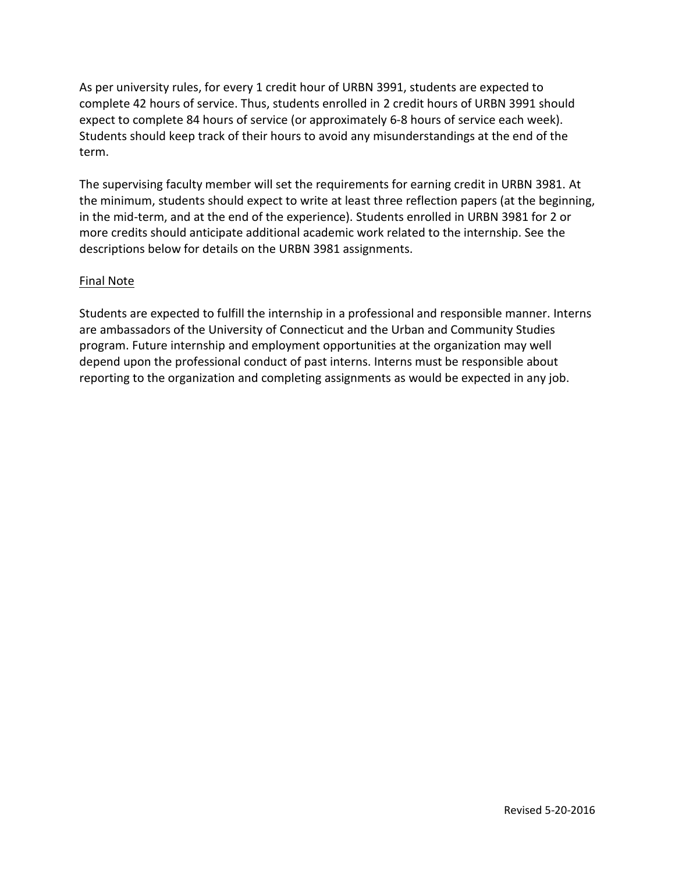As per university rules, for every 1 credit hour of URBN 3991, students are expected to complete 42 hours of service. Thus, students enrolled in 2 credit hours of URBN 3991 should expect to complete 84 hours of service (or approximately 6-8 hours of service each week). Students should keep track of their hours to avoid any misunderstandings at the end of the term.

The supervising faculty member will set the requirements for earning credit in URBN 3981. At the minimum, students should expect to write at least three reflection papers (at the beginning, in the mid-term, and at the end of the experience). Students enrolled in URBN 3981 for 2 or more credits should anticipate additional academic work related to the internship. See the descriptions below for details on the URBN 3981 assignments.

# Final Note

Students are expected to fulfill the internship in a professional and responsible manner. Interns are ambassadors of the University of Connecticut and the Urban and Community Studies program. Future internship and employment opportunities at the organization may well depend upon the professional conduct of past interns. Interns must be responsible about reporting to the organization and completing assignments as would be expected in any job.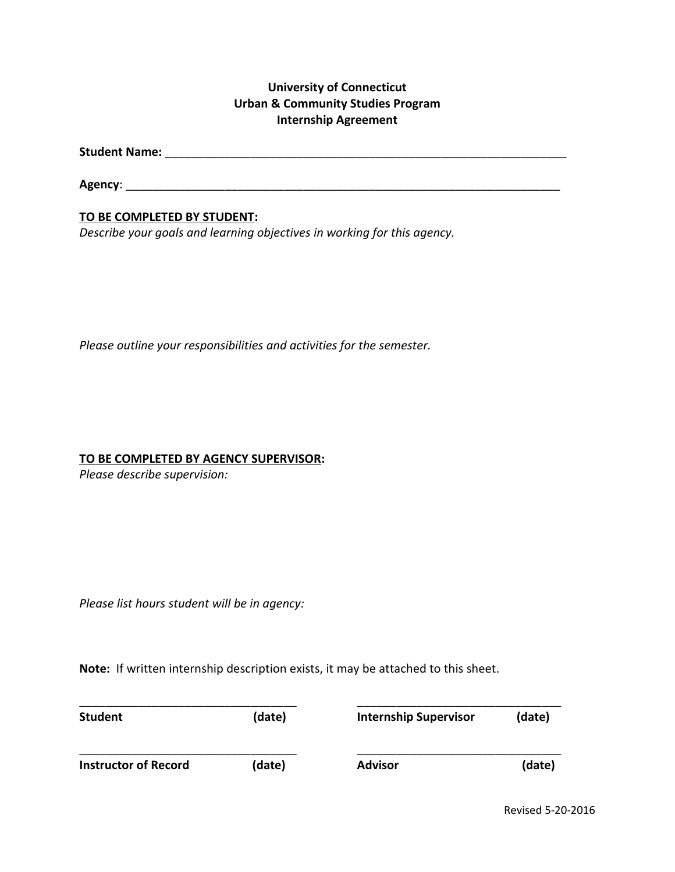# **University of Connecticut Urban & Community Studies Program Internship Agreement**

**Student Name:** \_\_\_\_\_\_\_\_\_\_\_\_\_\_\_\_\_\_\_\_\_\_\_\_\_\_\_\_\_\_\_\_\_\_\_\_\_\_\_\_\_\_\_\_\_\_\_\_\_\_\_\_\_\_\_\_\_\_\_\_\_

**Agency**: \_\_\_\_\_\_\_\_\_\_\_\_\_\_\_\_\_\_\_\_\_\_\_\_\_\_\_\_\_\_\_\_\_\_\_\_\_\_\_\_\_\_\_\_\_\_\_\_\_\_\_\_\_\_\_\_\_\_\_\_\_\_\_\_\_\_

## **TO BE COMPLETED BY STUDENT:**

*Describe your goals and learning objectives in working for this agency.*

*Please outline your responsibilities and activities for the semester.*

#### **TO BE COMPLETED BY AGENCY SUPERVISOR:**

*Please describe supervision:*

*Please list hours student will be in agency:*

**Note:** If written internship description exists, it may be attached to this sheet.

| <b>Student</b>              | (date) | <b>Internship Supervisor</b> | (date) |
|-----------------------------|--------|------------------------------|--------|
| <b>Instructor of Record</b> | (date) | <b>Advisor</b>               | (date) |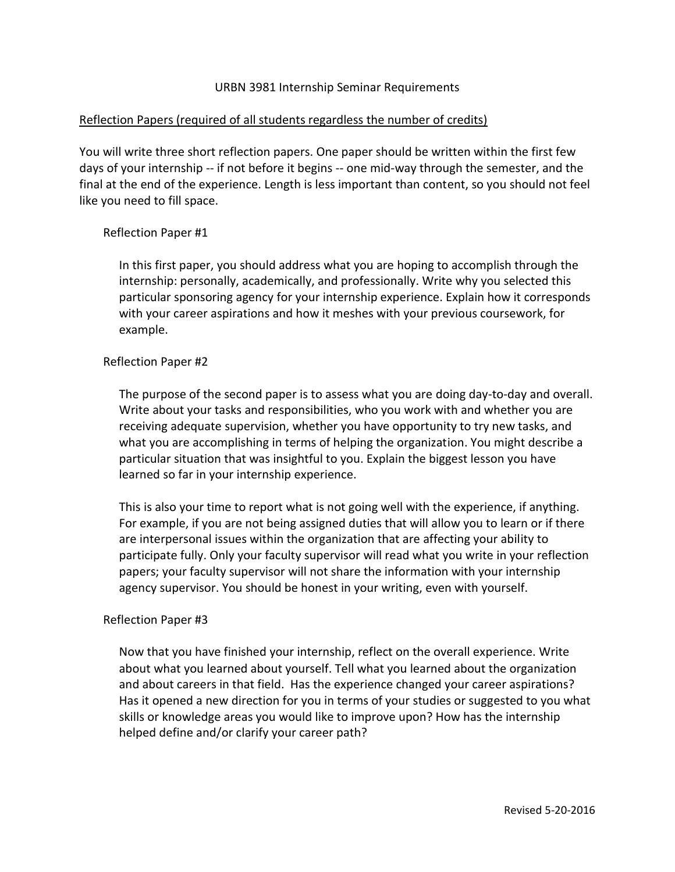### URBN 3981 Internship Seminar Requirements

### Reflection Papers (required of all students regardless the number of credits)

You will write three short reflection papers. One paper should be written within the first few days of your internship -- if not before it begins -- one mid-way through the semester, and the final at the end of the experience. Length is less important than content, so you should not feel like you need to fill space.

### Reflection Paper #1

In this first paper, you should address what you are hoping to accomplish through the internship: personally, academically, and professionally. Write why you selected this particular sponsoring agency for your internship experience. Explain how it corresponds with your career aspirations and how it meshes with your previous coursework, for example.

#### Reflection Paper #2

The purpose of the second paper is to assess what you are doing day-to-day and overall. Write about your tasks and responsibilities, who you work with and whether you are receiving adequate supervision, whether you have opportunity to try new tasks, and what you are accomplishing in terms of helping the organization. You might describe a particular situation that was insightful to you. Explain the biggest lesson you have learned so far in your internship experience.

This is also your time to report what is not going well with the experience, if anything. For example, if you are not being assigned duties that will allow you to learn or if there are interpersonal issues within the organization that are affecting your ability to participate fully. Only your faculty supervisor will read what you write in your reflection papers; your faculty supervisor will not share the information with your internship agency supervisor. You should be honest in your writing, even with yourself.

#### Reflection Paper #3

Now that you have finished your internship, reflect on the overall experience. Write about what you learned about yourself. Tell what you learned about the organization and about careers in that field. Has the experience changed your career aspirations? Has it opened a new direction for you in terms of your studies or suggested to you what skills or knowledge areas you would like to improve upon? How has the internship helped define and/or clarify your career path?